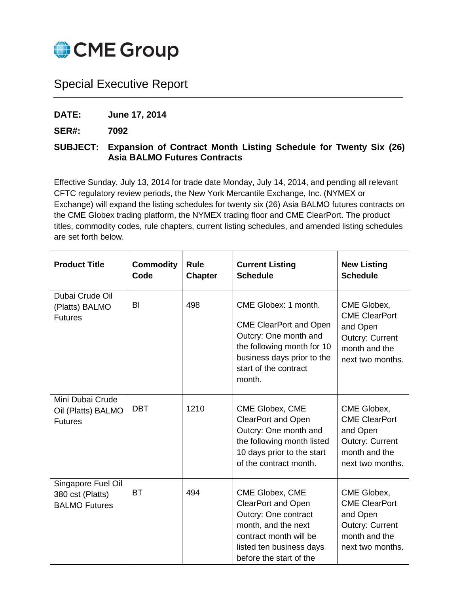

## Special Executive Report

**DATE: June 17, 2014**

**SER#: 7092**

## **SUBJECT: Expansion of Contract Month Listing Schedule for Twenty Six (26) Asia BALMO Futures Contracts**

Effective Sunday, July 13, 2014 for trade date Monday, July 14, 2014, and pending all relevant CFTC regulatory review periods, the New York Mercantile Exchange, Inc. (NYMEX or Exchange) will expand the listing schedules for twenty six (26) Asia BALMO futures contracts on the CME Globex trading platform, the NYMEX trading floor and CME ClearPort. The product titles, commodity codes, rule chapters, current listing schedules, and amended listing schedules are set forth below.

| <b>Product Title</b>                                           | <b>Commodity</b><br>Code | <b>Rule</b><br><b>Chapter</b> | <b>Current Listing</b><br><b>Schedule</b>                                                                                                                                     | <b>New Listing</b><br><b>Schedule</b>                                                                          |
|----------------------------------------------------------------|--------------------------|-------------------------------|-------------------------------------------------------------------------------------------------------------------------------------------------------------------------------|----------------------------------------------------------------------------------------------------------------|
| Dubai Crude Oil<br>(Platts) BALMO<br><b>Futures</b>            | BI                       | 498                           | CME Globex: 1 month.<br><b>CME ClearPort and Open</b><br>Outcry: One month and<br>the following month for 10<br>business days prior to the<br>start of the contract<br>month. | CME Globex,<br><b>CME ClearPort</b><br>and Open<br><b>Outcry: Current</b><br>month and the<br>next two months. |
| Mini Dubai Crude<br>Oil (Platts) BALMO<br><b>Futures</b>       | <b>DBT</b>               | 1210                          | CME Globex, CME<br><b>ClearPort and Open</b><br>Outcry: One month and<br>the following month listed<br>10 days prior to the start<br>of the contract month.                   | CME Globex,<br><b>CME ClearPort</b><br>and Open<br><b>Outcry: Current</b><br>month and the<br>next two months. |
| Singapore Fuel Oil<br>380 cst (Platts)<br><b>BALMO Futures</b> | <b>BT</b>                | 494                           | CME Globex, CME<br><b>ClearPort and Open</b><br>Outcry: One contract<br>month, and the next<br>contract month will be<br>listed ten business days<br>before the start of the  | CME Globex,<br><b>CME ClearPort</b><br>and Open<br><b>Outcry: Current</b><br>month and the<br>next two months. |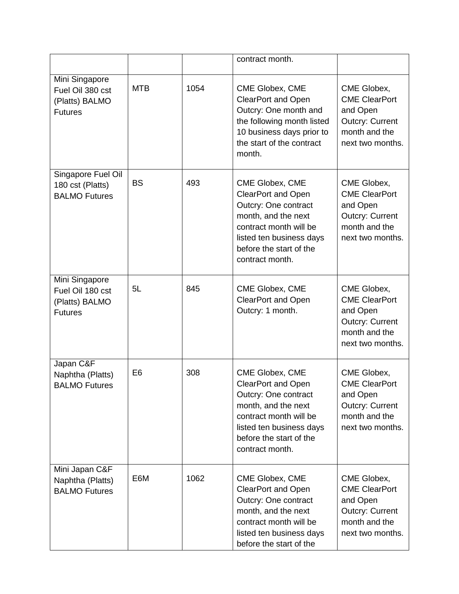|                                                                        |                |      | contract month.                                                                                                                                                                                 |                                                                                                                |
|------------------------------------------------------------------------|----------------|------|-------------------------------------------------------------------------------------------------------------------------------------------------------------------------------------------------|----------------------------------------------------------------------------------------------------------------|
| Mini Singapore<br>Fuel Oil 380 cst<br>(Platts) BALMO<br><b>Futures</b> | <b>MTB</b>     | 1054 | CME Globex, CME<br><b>ClearPort and Open</b><br>Outcry: One month and<br>the following month listed<br>10 business days prior to<br>the start of the contract<br>month.                         | CME Globex,<br><b>CME ClearPort</b><br>and Open<br><b>Outcry: Current</b><br>month and the<br>next two months. |
| Singapore Fuel Oil<br>180 cst (Platts)<br><b>BALMO Futures</b>         | <b>BS</b>      | 493  | CME Globex, CME<br><b>ClearPort and Open</b><br>Outcry: One contract<br>month, and the next<br>contract month will be<br>listed ten business days<br>before the start of the<br>contract month. | CME Globex,<br><b>CME ClearPort</b><br>and Open<br><b>Outcry: Current</b><br>month and the<br>next two months. |
| Mini Singapore<br>Fuel Oil 180 cst<br>(Platts) BALMO<br><b>Futures</b> | 5L             | 845  | CME Globex, CME<br><b>ClearPort and Open</b><br>Outcry: 1 month.                                                                                                                                | CME Globex,<br><b>CME ClearPort</b><br>and Open<br><b>Outcry: Current</b><br>month and the<br>next two months. |
| Japan C&F<br>Naphtha (Platts)<br><b>BALMO Futures</b>                  | E <sub>6</sub> | 308  | CME Globex, CME<br><b>ClearPort and Open</b><br>Outcry: One contract<br>month, and the next<br>contract month will be<br>listed ten business days<br>before the start of the<br>contract month. | CME Globex,<br><b>CME ClearPort</b><br>and Open<br><b>Outcry: Current</b><br>month and the<br>next two months. |
| Mini Japan C&F<br>Naphtha (Platts)<br><b>BALMO Futures</b>             | E6M            | 1062 | CME Globex, CME<br><b>ClearPort and Open</b><br>Outcry: One contract<br>month, and the next<br>contract month will be<br>listed ten business days<br>before the start of the                    | CME Globex,<br><b>CME ClearPort</b><br>and Open<br><b>Outcry: Current</b><br>month and the<br>next two months. |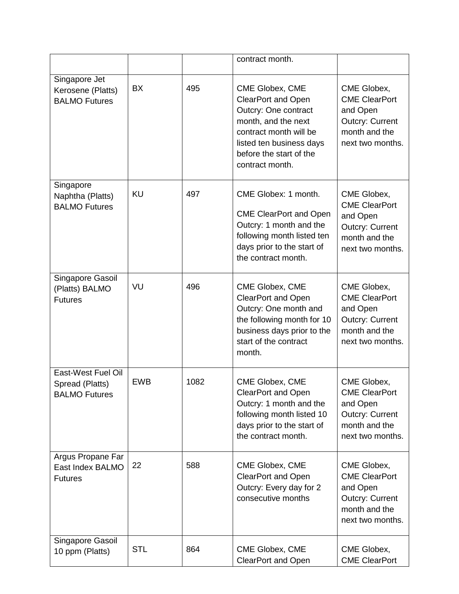|                                                               |            |      | contract month.                                                                                                                                                                                 |                                                                                                                |
|---------------------------------------------------------------|------------|------|-------------------------------------------------------------------------------------------------------------------------------------------------------------------------------------------------|----------------------------------------------------------------------------------------------------------------|
| Singapore Jet<br>Kerosene (Platts)<br><b>BALMO Futures</b>    | <b>BX</b>  | 495  | CME Globex, CME<br><b>ClearPort and Open</b><br>Outcry: One contract<br>month, and the next<br>contract month will be<br>listed ten business days<br>before the start of the<br>contract month. | CME Globex,<br><b>CME ClearPort</b><br>and Open<br><b>Outcry: Current</b><br>month and the<br>next two months. |
| Singapore<br>Naphtha (Platts)<br><b>BALMO Futures</b>         | <b>KU</b>  | 497  | CME Globex: 1 month.<br><b>CME ClearPort and Open</b><br>Outcry: 1 month and the<br>following month listed ten<br>days prior to the start of<br>the contract month.                             | CME Globex,<br><b>CME ClearPort</b><br>and Open<br><b>Outcry: Current</b><br>month and the<br>next two months. |
| Singapore Gasoil<br>(Platts) BALMO<br><b>Futures</b>          | VU         | 496  | CME Globex, CME<br><b>ClearPort and Open</b><br>Outcry: One month and<br>the following month for 10<br>business days prior to the<br>start of the contract<br>month.                            | CME Globex,<br><b>CME ClearPort</b><br>and Open<br><b>Outcry: Current</b><br>month and the<br>next two months. |
| East-West Fuel Oil<br>Spread (Platts)<br><b>BALMO Futures</b> | <b>EWB</b> | 1082 | CME Globex, CME<br>ClearPort and Open<br>Outcry: 1 month and the<br>following month listed 10<br>days prior to the start of<br>the contract month.                                              | CME Globex,<br><b>CME ClearPort</b><br>and Open<br><b>Outcry: Current</b><br>month and the<br>next two months. |
| Argus Propane Far<br>East Index BALMO<br><b>Futures</b>       | 22         | 588  | CME Globex, CME<br><b>ClearPort and Open</b><br>Outcry: Every day for 2<br>consecutive months                                                                                                   | CME Globex,<br><b>CME ClearPort</b><br>and Open<br><b>Outcry: Current</b><br>month and the<br>next two months. |
| Singapore Gasoil<br>10 ppm (Platts)                           | <b>STL</b> | 864  | CME Globex, CME<br><b>ClearPort and Open</b>                                                                                                                                                    | CME Globex,<br><b>CME ClearPort</b>                                                                            |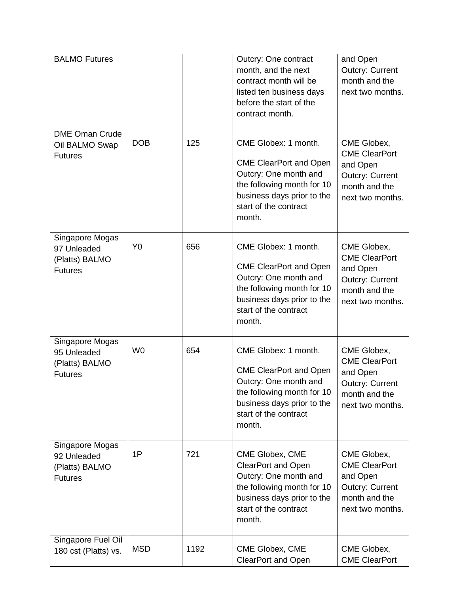| <b>BALMO Futures</b>                                               |                |      | Outcry: One contract<br>month, and the next<br>contract month will be<br>listed ten business days<br>before the start of the<br>contract month.                               | and Open<br><b>Outcry: Current</b><br>month and the<br>next two months.                                        |
|--------------------------------------------------------------------|----------------|------|-------------------------------------------------------------------------------------------------------------------------------------------------------------------------------|----------------------------------------------------------------------------------------------------------------|
| <b>DME Oman Crude</b><br>Oil BALMO Swap<br><b>Futures</b>          | <b>DOB</b>     | 125  | CME Globex: 1 month.<br><b>CME ClearPort and Open</b><br>Outcry: One month and<br>the following month for 10<br>business days prior to the<br>start of the contract<br>month. | CME Globex,<br><b>CME ClearPort</b><br>and Open<br><b>Outcry: Current</b><br>month and the<br>next two months. |
| Singapore Mogas<br>97 Unleaded<br>(Platts) BALMO<br><b>Futures</b> | Y <sub>0</sub> | 656  | CME Globex: 1 month.<br><b>CME ClearPort and Open</b><br>Outcry: One month and<br>the following month for 10<br>business days prior to the<br>start of the contract<br>month. | CME Globex,<br><b>CME ClearPort</b><br>and Open<br><b>Outcry: Current</b><br>month and the<br>next two months. |
| Singapore Mogas<br>95 Unleaded<br>(Platts) BALMO<br><b>Futures</b> | W <sub>0</sub> | 654  | CME Globex: 1 month.<br><b>CME ClearPort and Open</b><br>Outcry: One month and<br>the following month for 10<br>business days prior to the<br>start of the contract<br>month. | CME Globex,<br><b>CME ClearPort</b><br>and Open<br><b>Outcry: Current</b><br>month and the<br>next two months. |
| Singapore Mogas<br>92 Unleaded<br>(Platts) BALMO<br><b>Futures</b> | 1P             | 721  | CME Globex, CME<br><b>ClearPort and Open</b><br>Outcry: One month and<br>the following month for 10<br>business days prior to the<br>start of the contract<br>month.          | CME Globex,<br><b>CME ClearPort</b><br>and Open<br><b>Outcry: Current</b><br>month and the<br>next two months. |
| Singapore Fuel Oil<br>180 cst (Platts) vs.                         | <b>MSD</b>     | 1192 | CME Globex, CME<br><b>ClearPort and Open</b>                                                                                                                                  | CME Globex,<br><b>CME ClearPort</b>                                                                            |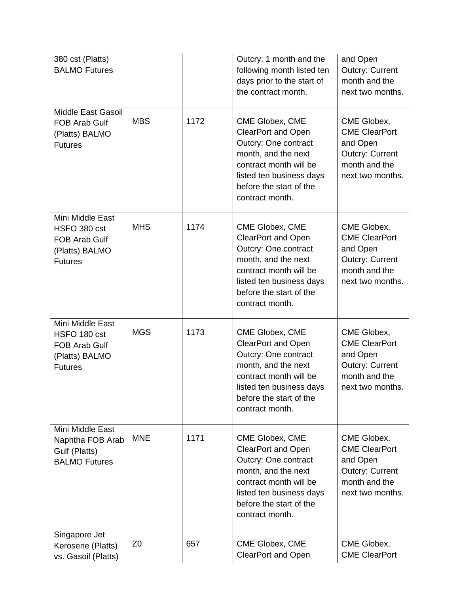| 380 cst (Platts)<br><b>BALMO Futures</b>                                                     |                |      | Outcry: 1 month and the<br>following month listed ten<br>days prior to the start of<br>the contract month.                                                                                      | and Open<br><b>Outcry: Current</b><br>month and the<br>next two months.                                        |
|----------------------------------------------------------------------------------------------|----------------|------|-------------------------------------------------------------------------------------------------------------------------------------------------------------------------------------------------|----------------------------------------------------------------------------------------------------------------|
| <b>Middle East Gasoil</b><br>FOB Arab Gulf<br>(Platts) BALMO<br><b>Futures</b>               | <b>MBS</b>     | 1172 | CME Globex, CME<br><b>ClearPort and Open</b><br>Outcry: One contract<br>month, and the next<br>contract month will be<br>listed ten business days<br>before the start of the<br>contract month. | CME Globex,<br><b>CME ClearPort</b><br>and Open<br><b>Outcry: Current</b><br>month and the<br>next two months. |
| Mini Middle East<br>HSFO 380 cst<br><b>FOB Arab Gulf</b><br>(Platts) BALMO<br><b>Futures</b> | <b>MHS</b>     | 1174 | CME Globex, CME<br><b>ClearPort and Open</b><br>Outcry: One contract<br>month, and the next<br>contract month will be<br>listed ten business days<br>before the start of the<br>contract month. | CME Globex,<br><b>CME ClearPort</b><br>and Open<br><b>Outcry: Current</b><br>month and the<br>next two months. |
| Mini Middle East<br>HSFO 180 cst<br><b>FOB Arab Gulf</b><br>(Platts) BALMO<br><b>Futures</b> | <b>MGS</b>     | 1173 | CME Globex, CME<br><b>ClearPort and Open</b><br>Outcry: One contract<br>month, and the next<br>contract month will be<br>listed ten business davs<br>before the start of the<br>contract month. | CME Globex,<br><b>CME ClearPort</b><br>and Open<br><b>Outcry: Current</b><br>month and the<br>next two months. |
| Mini Middle East<br>Naphtha FOB Arab<br>Gulf (Platts)<br><b>BALMO Futures</b>                | <b>MNE</b>     | 1171 | CME Globex, CME<br><b>ClearPort and Open</b><br>Outcry: One contract<br>month, and the next<br>contract month will be<br>listed ten business days<br>before the start of the<br>contract month. | CME Globex,<br><b>CME ClearPort</b><br>and Open<br><b>Outcry: Current</b><br>month and the<br>next two months. |
| Singapore Jet<br>Kerosene (Platts)<br>vs. Gasoil (Platts)                                    | Z <sub>0</sub> | 657  | CME Globex, CME<br><b>ClearPort and Open</b>                                                                                                                                                    | CME Globex,<br><b>CME ClearPort</b>                                                                            |